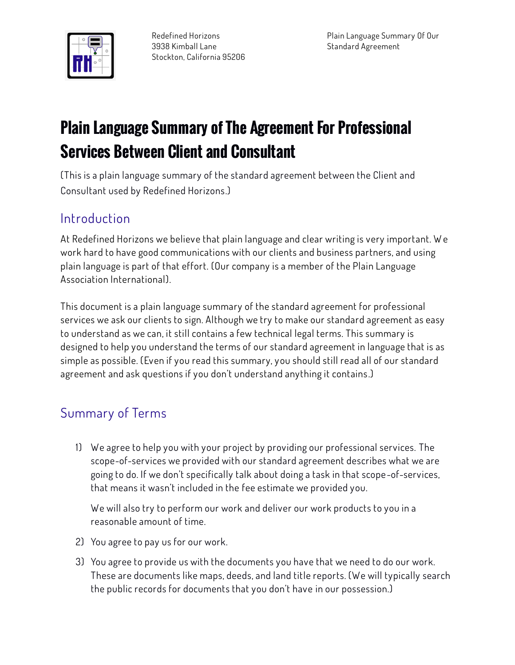

## Plain Language Summary of The Agreement For Professional Services Between Client and Consultant

**(This is a plain language summary of the standard agreement between the Client and Consultant used by Redefined Horizons.)**

## **Introduction**

**At Redefined Horizons we believe that plain language and clear writing is very important. W e work hard to have good communications with our clients and business partners, and using plain language is part of that effort. (Our company is a member of the Plain Language Association International).**

**This document is a plain language summary of the standard agreement for professional services we ask our clients to sign. Although we try to make our standard agreement as easy to understand as we can, it still contains a few technical legal terms. This summary is designed to help you understand the terms of our standard agreement in language that is as simple as possible. (Even if you read this summary, you should still read all of our standard agreement and ask questions if you don't understand anything it contains.)**

## **Summary of Terms**

**1) We agree to help you with your project by providing our professional services. The scope-of-services we provided with our standard agreement describes what we are going to do. If we don't specifically talk about doing a task in that scope-of-services, that means it wasn't included in the fee estimate we provided you.**

**We will also try to perform our work and deliver our work products to you in a reasonable amount of time.**

- **2) You agree to pay us for our work.**
- **3) You agree to provide us with the documents you have that we need to do our work. These are documents like maps, deeds, and land title reports. (We will typically search the public records for documents that you don't have in our possession.)**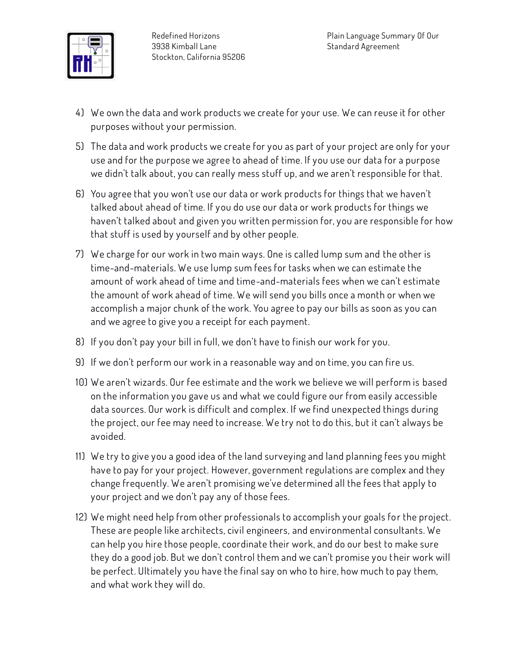

- **4) We own the data and work products we create for your use. We can reuse it for other purposes without your permission.**
- **5) The data and work products we create for you as part of your project are only for your use and for the purpose we agree to ahead of time. If you use our data for a purpose we didn't talk about, you can really mess stuff up, and we aren't responsible for that.**
- **6) You agree that you won't use our data or work products for things that we haven't talked about ahead of time. If you do use our data or work products for things we haven't talked about and given you written permission for, you are responsible for how that stuff is used by yourself and by other people.**
- **7) We charge for our work in two main ways. One is called lump sum and the other is time-and-materials. We use lump sum fees for tasks when we can estimate the amount of work ahead of time and time-and-materials fees when we can't estimate the amount of work ahead of time. We will send you bills once a month or when we accomplish a major chunk of the work. You agree to pay our bills as soon as you can and we agree to give you a receipt for each payment.**
- **8) If you don't pay your bill in full, we don't have to finish our work for you.**
- **9) If we don't perform our work in a reasonable way and on time, you can fire us.**
- **10) We aren't wizards. Our fee estimate and the work we believe we will perform is based on the information you gave us and what we could figure our from easily accessible data sources. Our work is difficult and complex. If we find unexpected things during the project, our fee may need to increase. We try not to do this, but it can't always be avoided.**
- **11) We try to give you a good idea of the land surveying and land planning fees you might have to pay for your project. However, government regulations are complex and they change frequently. We aren't promising we've determined all the fees that apply to your project and we don't pay any of those fees.**
- **12) We might need help from other professionals to accomplish your goals for the project. These are people like architects, civil engineers, and environmental consultants. We can help you hire those people, coordinate their work, and do our best to make sure they do a good job. But we don't control them and we can't promise you their work will be perfect. Ultimately you have the final say on who to hire, how much to pay them, and what work they will do.**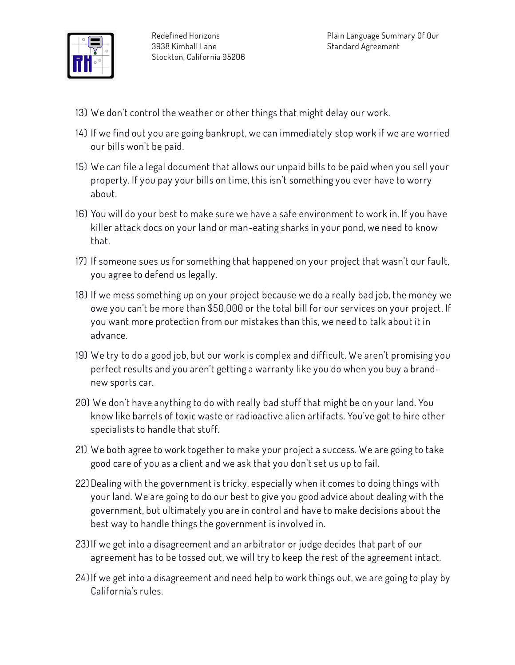

- **13) We don't control the weather or other things that might delay our work.**
- **14) If we find out you are going bankrupt, we can immediately stop work if we are worried our bills won't be paid.**
- **15) We can file a legal document that allows our unpaid bills to be paid when you sell your property. If you pay your bills on time, this isn't something you ever have to worry about.**
- **16) You will do your best to make sure we have a safe environment to work in. If you have killer attack docs on your land or man-eating sharks in your pond, we need to know that.**
- **17) If someone sues us for something that happened on your project that wasn't our fault, you agree to defend us legally.**
- **18) If we mess something up on your project because we do a really bad job, the money we owe you can't be more than \$50,000 or the total bill for our services on your project. If you want more protection from our mistakes than this, we need to talk about it in advance.**
- **19) We try to do a good job, but our work is complex and difficult. We aren't promising you perfect results and you aren't getting a warranty like you do when you buy a brandnew sports car.**
- **20) We don't have anything to do with really bad stuff that might be on your land. You know like barrels of toxic waste or radioactive alien artifacts. You've got to hire other specialists to handle that stuff.**
- **21) We both agree to work together to make your project a success. We are going to take good care of you as a client and we ask that you don't set us up to fail.**
- **22) Dealing with the government is tricky, especially when it comes to doing things with your land. We are going to do our best to give you good advice about dealing with the government, but ultimately you are in control and have to make decisions about the best way to handle things the government is involved in.**
- **23)If we get into a disagreement and an arbitrator or judge decides that part of our agreement has to be tossed out, we will try to keep the rest of the agreement intact.**
- **24) If we get into a disagreement and need help to work things out, we are going to play by California's rules.**